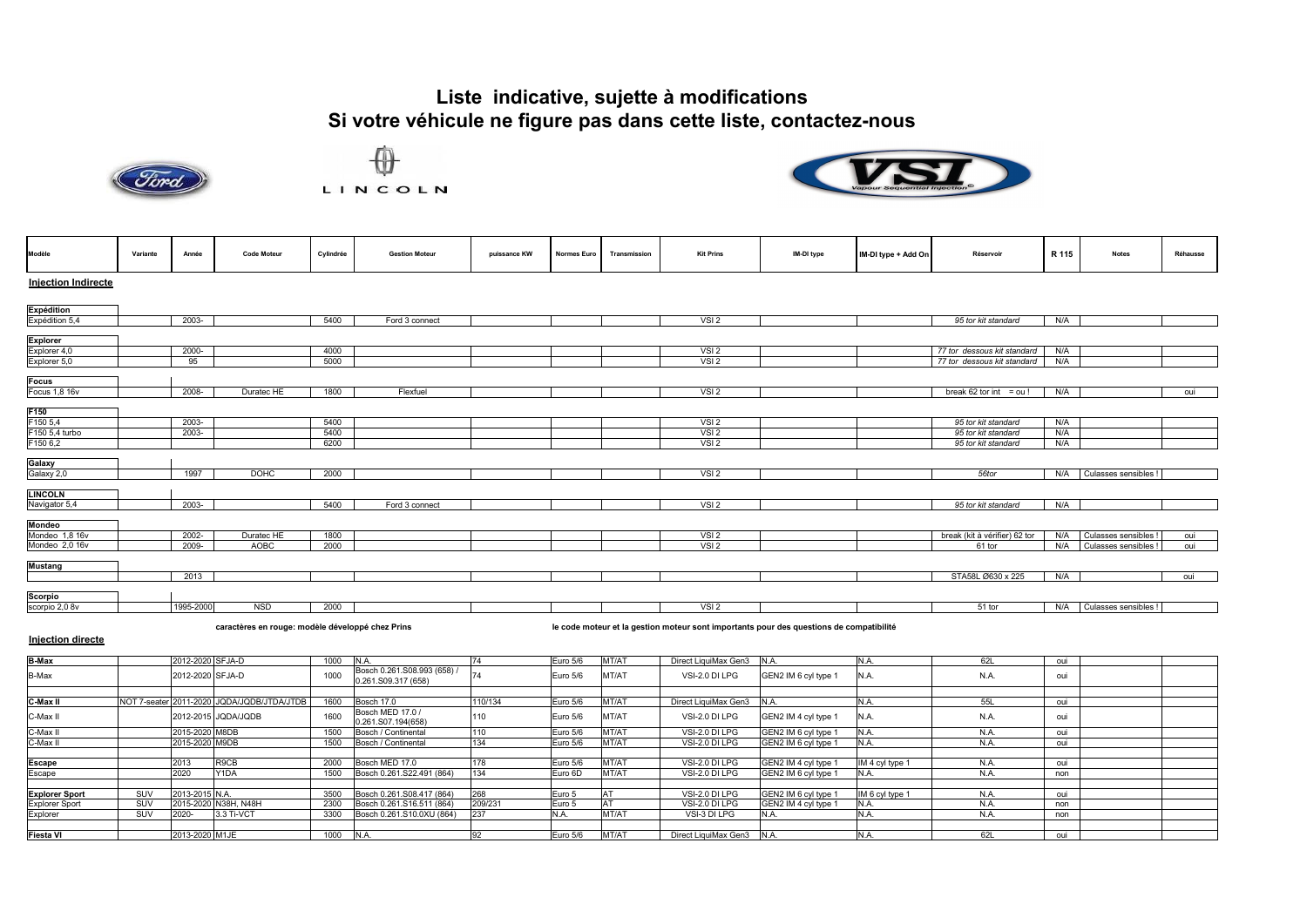





| Modèle                                   | Variante | Année     | <b>Code Moteur</b> | Cylindrée | <b>Gestion Moteur</b> | puissance KW | <b>Normes Euro</b> | Transmission | <b>Kit Prins</b> | IM-DI type | IM-DI type + Add On | Réservoir                     | R 115 | <b>Notes</b>         | Réhausse |
|------------------------------------------|----------|-----------|--------------------|-----------|-----------------------|--------------|--------------------|--------------|------------------|------------|---------------------|-------------------------------|-------|----------------------|----------|
| <b>Injection Indirecte</b>               |          |           |                    |           |                       |              |                    |              |                  |            |                     |                               |       |                      |          |
| Expédition<br>Expédition 5,4             |          |           |                    |           |                       |              |                    |              |                  |            |                     |                               |       |                      |          |
|                                          |          | $2003 -$  |                    | 5400      | Ford 3 connect        |              |                    |              | VSI2             |            |                     | 95 tor kit standard           | N/A   |                      |          |
|                                          |          |           |                    |           |                       |              |                    |              |                  |            |                     |                               |       |                      |          |
|                                          |          | 2000-     |                    | 4000      |                       |              |                    |              | VSI2             |            |                     | 77 tor dessous kit standard   | N/A   |                      |          |
| Explorer<br>Explorer 4,0<br>Explorer 5,0 |          | 95        |                    | 5000      |                       |              |                    |              | VSI <sub>2</sub> |            |                     | 77 tor dessous kit standard   | N/A   |                      |          |
| Focus<br>Focus 1,8 16v                   |          |           |                    |           |                       |              |                    |              |                  |            |                     |                               |       |                      |          |
|                                          |          | 2008-     | Duratec HE         | 1800      | Flexfuel              |              |                    |              | VSI <sub>2</sub> |            |                     | break 62 tor int = $ou!$      | N/A   |                      | oui      |
| F150<br>F150 5,4                         |          |           |                    |           |                       |              |                    |              |                  |            |                     |                               |       |                      |          |
|                                          |          | 2003-     |                    | 5400      |                       |              |                    |              | VSI2             |            |                     | 95 tor kit standard           | N/A   |                      |          |
| F150 5,4 turbo                           |          | 2003-     |                    | 5400      |                       |              |                    |              | VSI <sub>2</sub> |            |                     | 95 tor kit standard           | N/A   |                      |          |
| F150 6,2                                 |          |           |                    | 6200      |                       |              |                    |              | VSI <sub>2</sub> |            |                     | 95 tor kit standard           | N/A   |                      |          |
| Galaxy<br>Galaxy 2,0                     |          |           |                    |           |                       |              |                    |              |                  |            |                     |                               |       |                      |          |
|                                          |          | 1997      | <b>DOHC</b>        | 2000      |                       |              |                    |              | VSI2             |            |                     | 56tor                         | N/A   | Culasses sensibles ! |          |
| <b>LINCOLN</b>                           |          |           |                    |           |                       |              |                    |              |                  |            |                     |                               |       |                      |          |
| Navigator 5,4                            |          | 2003-     |                    | 5400      | Ford 3 connect        |              |                    |              | VSI2             |            |                     | 95 tor kit standard           | N/A   |                      |          |
| Mondeo<br>Mondeo 1,8 16v                 |          |           |                    |           |                       |              |                    |              |                  |            |                     |                               |       |                      |          |
|                                          |          | 2002-     | Duratec HE         | 1800      |                       |              |                    |              | VSI2             |            |                     | break (kit à vérifier) 62 tor | N/A   | Culasses sensibles   | oui      |
| Mondeo 2,0 16v                           |          | 2009-     | AOBC               | 2000      |                       |              |                    |              | VSI2             |            |                     | 61 tor                        | N/A   | Culasses sensibles   | oui      |
| <b>Mustang</b>                           |          |           |                    |           |                       |              |                    |              |                  |            |                     |                               |       |                      |          |
|                                          |          | 2013      |                    |           |                       |              |                    |              |                  |            |                     | STA58L Ø630 x 225             | N/A   |                      | oui      |
| Scorpio<br>scorpio 2,0 8v                |          |           |                    |           |                       |              |                    |              |                  |            |                     |                               |       |                      |          |
|                                          |          | 1995-2000 | <b>NSD</b>         | 2000      |                       |              |                    |              | VSI2             |            |                     | 51 tor                        | N/A   | Culasses sensibles ! |          |
|                                          |          |           |                    |           |                       |              |                    |              |                  |            |                     |                               |       |                      |          |

**caractères en rouge: modèle développé chez Prins le code moteur et la gestion moteur sont importants pour des questions de compatibilité** 

**Injection directe**

| Bosch 0.261.S08.993 (658) /<br>1000<br>B-Max<br>2012-2020 SFJA-D<br>Euro 5/6<br>VSI-2.0 DI LPG<br>GEN2 IM 6 cyl type 1<br>MT/AT<br>N.A.<br>0.261.S09.317 (658)    | N.A. | oui |  |
|-------------------------------------------------------------------------------------------------------------------------------------------------------------------|------|-----|--|
|                                                                                                                                                                   |      |     |  |
| C-Max II<br>NOT 7-seater 2011-2020 JQDA/JQDB/JTDA/JTDB<br>Euro 5/6<br>Direct LiquiMax Gen3<br>1600<br>Bosch 17.0<br>110/134<br>MT/AT                              | 55L  | oui |  |
| Bosch MED 17.0 /<br>C-Max II<br>1600<br>2012-2015 JQDA/JQDB<br>Euro 5/6<br>VSI-2.0 DI LPG<br>GEN2 IM 4 cyl type 1<br>MT/AT<br>110<br>N.A.<br>0.261.S07.194(658)   | N.A. | oui |  |
| C-Max II<br>2015-2020 M8DB<br>VSI-2.0 DI LPG<br>GEN2 IM 6 cyl type 1<br>Bosch / Continental<br>MT/A<br>1500<br>Euro 5/6<br>110<br>IN.A                            | N.A  | oui |  |
| 2015-2020 M9DB<br>C-Max II<br>MT/AT<br>Bosch / Continental<br>134<br>Euro 5/6<br>VSI-2.0 DI LPG<br>GEN2 IM 6 cyl type 1<br>N.A.<br>1500                           | N.A. | oui |  |
|                                                                                                                                                                   |      |     |  |
| 2013<br>R <sub>9</sub> CB<br>Escape<br>Bosch MED 17.0<br>GEN2 IM 4 cyl type 1<br>VSI-2.0 DI LPG<br>2000<br>Euro 5/6<br>MT/AT<br>IM 4 cyl type 1<br>178            | N.A  | oui |  |
| 2020<br>Escape<br>Y <sub>1</sub> DA<br>Euro 6D<br>MT/AT<br>GEN2 IM 6 cyl type 1<br>Bosch 0.261.S22.491 (864)<br>134<br>VSI-2.0 DI LPG<br>1500<br>N.A.             | N.A. | non |  |
|                                                                                                                                                                   |      |     |  |
| 2013-2015 N.A.<br>268<br>SUV<br>3500<br>Bosch 0.261.S08.417 (864)<br>Euro 5<br>IM 6 cyl type 1<br><b>Explorer Sport</b><br>GEN2 IM 6 cyl type 1<br>VSI-2.0 DI LPG | N.A  | oui |  |
| 2015-2020 N38H, N48H<br>209/231<br>GEN2 IM 4 cyl type 1<br><b>Explorer Sport</b><br>SUV<br>2300<br>Bosch 0.261.S16.511 (864)<br>Euro 5<br>VSI-2.0 DI LPG<br>N.A.  | N.A. | non |  |
| MT/AT<br>Explorer<br>SUV<br>2020-<br>3.3 Ti-VCT<br>3300<br>237<br>VSI-3 DI LPG<br>Bosch 0.261.S10.0XU (864)<br>N.A<br>N.A.<br>N.A.                                | N.A. | non |  |
|                                                                                                                                                                   |      |     |  |
| <b>Fiesta VI</b><br>2013-2020 M1JE<br>Direct LiquiMax Gen3 N.A.<br>1000<br>Euro 5/6<br>MT/AT<br>N.A<br>IN.A                                                       | 621  | oui |  |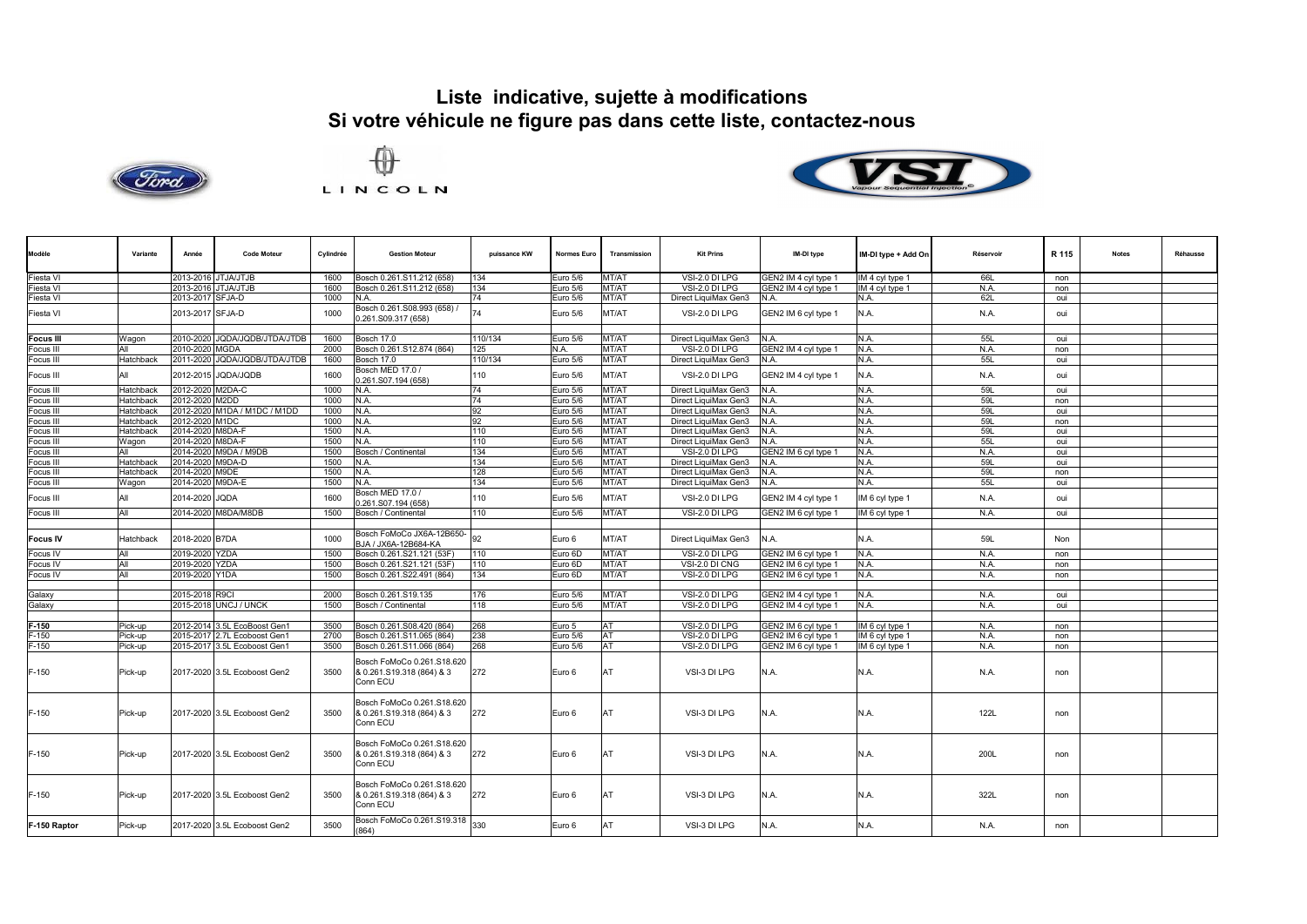





| Modèle           | Variante         | Année            | <b>Code Moteur</b>            | Cylindrée | <b>Gestion Moteur</b>                                               | puissance KW | <b>Normes Euro</b> | Transmission | <b>Kit Prins</b>     | IM-DI type           | IM-DI type + Add On | Réservoir | R 115 | <b>Notes</b> | Réhausse |
|------------------|------------------|------------------|-------------------------------|-----------|---------------------------------------------------------------------|--------------|--------------------|--------------|----------------------|----------------------|---------------------|-----------|-------|--------------|----------|
| Fiesta VI        |                  |                  | 2013-2016 JTJA/JTJB           | 1600      | Bosch 0.261.S11.212 (658)                                           | 134          | Euro 5/6           | MT/AT        | VSI-2.0 DI LPG       | GEN2 IM 4 cyl type 1 | IM 4 cyl type 1     | 66L       | non   |              |          |
| Fiesta VI        |                  |                  | 2013-2016 JTJA/JTJB           | 1600      | Bosch 0.261.S11.212 (658)                                           | 134          | Euro 5/6           | MT/AT        | VSI-2.0 DI LPG       | GEN2 IM 4 cyl type 1 | IM 4 cyl type 1     | N.A.      | non   |              |          |
| Fiesta VI        |                  | 2013-2017 SFJA-D |                               | 1000      | N.A.                                                                | 74           | Euro 5/6           | MT/AT        | Direct LiquiMax Gen3 | N.A.                 | N.A.                | 62L       | oui   |              |          |
|                  |                  |                  |                               |           | 3osch 0.261.S08.993 (658)                                           |              |                    |              |                      |                      |                     |           |       |              |          |
| Fiesta VI        |                  | 2013-2017 SFJA-D |                               | 1000      | 0.261.S09.317 (658)                                                 | 74           | Euro 5/6           | MT/AT        | VSI-2.0 DI LPG       | GEN2 IM 6 cyl type 1 | N.A.                | N.A.      | oui   |              |          |
|                  |                  |                  |                               | 1600      |                                                                     |              |                    |              |                      |                      |                     |           |       |              |          |
| <b>Focus III</b> | Wagon            |                  | 2010-2020 JQDA/JQDB/JTDA/JTDB |           | Bosch 17.0                                                          | 110/134      | Euro 5/6           | MT/AT        | Direct LiquiMax Gen3 | N.A.                 | N.A.                | 55L       | oui   |              |          |
| Focus III        | All              | 2010-2020        | <b>MGDA</b>                   | 2000      | Bosch 0.261.S12.874 (864)                                           | 125          | N.A.               | MT/AT        | VSI-2.0 DI LPG       | GEN2 IM 4 cyl type 1 | N.A.                | N.A.      | non   |              |          |
| Focus III        | Hatchback        |                  | 2011-2020 JQDA/JQDB/JTDA/JTDB | 1600      | Bosch 17.0                                                          | 110/134      | Euro 5/6           | MT/AT        | Direct LiquiMax Gen3 | N.A.                 | N.A.                | 55L       | oui   |              |          |
| Focus III        | All              |                  | 2012-2015 JODA/JODB           | 1600      | Bosch MED 17.0 /<br>0.261.S07.194 (658)                             | 110          | Euro 5/6           | MT/AT        | VSI-2.0 DI LPG       | GEN2 IM 4 cyl type 1 | N.A.                | N.A.      | oui   |              |          |
| Focus III        | <b>Hatchback</b> | 2012-2020        | M2DA-C                        | 1000      | N.A.                                                                | 74           | Euro 5/6           | MT/AT        | Direct LiquiMax Gen3 | N.A.                 | N.A.                | 59L       | oui   |              |          |
| Focus III        | <b>Hatchback</b> | 2012-2020        | M2DD                          | 1000      | N.A.                                                                | 74           | Euro 5/6           | MT/A1        | Direct LiquiMax Gen3 | N.A.                 | N.A.                | 59L       | non   |              |          |
| Focus III        | <b>Hatchback</b> |                  | 2012-2020 M1DA / M1DC / M1DD  | 1000      | N.A.                                                                | 92           | Euro 5/6           | MT/AT        | Direct LiquiMax Gen3 | N.A.                 | N.A                 | 591       | oui   |              |          |
| Focus III        | Hatchback        | 2012-2020 M1DC   |                               | 1000      | N.A.                                                                | 92           | Euro 5/6           | MT/AT        | Direct LiquiMax Gen3 | N.A.                 | N.A.                | 59L       | non   |              |          |
| Focus III        | <b>Hatchback</b> | 2014-2020 M8DA-F |                               | 1500      | N.A.                                                                | 110          | Euro 5/6           | MT/AT        | Direct LiquiMax Gen3 | N.A.                 | N.A.                | 59L       | oui   |              |          |
| Focus III        | Wagon            | 2014-2020        | M8DA-F                        | 1500      | N.A.                                                                | 110          | Euro 5/6           | MT/A1        | Direct LiquiMax Gen3 | N.A.                 | N.A.                | 55L       | oui   |              |          |
| Focus III        | All              |                  | 2014-2020 M9DA / M9DB         | 1500      | Bosch / Continental                                                 | 134          | Euro 5/6           | MT/AT        | VSI-2.0 DI LPG       | GEN2 IM 6 cyl type 1 | N.A.                | N.A.      | oui   |              |          |
| Focus III        | <b>Hatchback</b> | 2014-2020        | M9DA-D                        | 1500      | N.A.                                                                | 134          | Euro 5/6           | MT/AT        | Direct LiquiMax Gen3 | N.A.                 | N.A.                | 59L       | oui   |              |          |
| Focus III        | Hatchback        | 2014-2020 M9DE   |                               | 1500      | N.A.                                                                | 128          | Euro 5/6           | MT/AT        | Direct LiquiMax Gen3 | N.A.                 | N.A.                | 59L       | non   |              |          |
| Focus III        | Wagon            | 2014-2020        | M9DA-E                        | 1500      | N.A.                                                                | 134          | Euro 5/6           | MT/AT        | Direct LiquiMax Gen3 | N.A.                 | N.A.                | 55L       | oui   |              |          |
| Focus III        |                  | 2014-2020 JQDA   |                               | 1600      | Bosch MED 17.0 /                                                    | 110          | Euro 5/6           | MT/AT        | VSI-2.0 DI LPG       | GEN2 IM 4 cyl type 1 | IM 6 cyl type 1     | N.A.      | oui   |              |          |
|                  |                  |                  |                               |           | 0.261.S07.194 (658)                                                 |              |                    |              |                      |                      |                     |           |       |              |          |
| Focus III        | All              |                  | 2014-2020 M8DA/M8DB           | 1500      | Bosch / Continental                                                 | 110          | Euro 5/6           | MT/AT        | VSI-2.0 DI LPG       | GEN2 IM 6 cyl type 1 | IM 6 cyl type 1     | N.A.      | oui   |              |          |
| <b>Focus IV</b>  | Hatchback        | 2018-2020 B7DA   |                               | 1000      | Bosch FoMoCo JX6A-12B650-<br>3JA / JX6A-12B684-KA                   | 92           | Euro 6             | MT/AT        | Direct LiquiMax Gen3 | N.A.                 | N.A.                | 59L       | Non   |              |          |
| Focus IV         | All              | 2019-2020 YZDA   |                               | 1500      | Bosch 0.261.S21.121 (53F)                                           | 110          | Euro 6D            | MT/AT        | VSI-2.0 DI LPG       | GEN2 IM 6 cyl type 1 | N.A.                | N.A.      | non   |              |          |
| Focus IV         | All              | 2019-2020 YZDA   |                               | 1500      | Bosch 0.261.S21.121 (53F)                                           | 110          | Euro 6D            | MT/A1        | VSI-2.0 DI CNG       | GEN2 IM 6 cyl type   | N.A.                | N.A.      | non   |              |          |
| Focus IV         | All              | 2019-2020 Y1DA   |                               | 1500      | Bosch 0.261.S22.491 (864)                                           | 134          | Euro 6D            | MT/AT        | VSI-2.0 DI LPG       | GEN2 IM 6 cyl type 1 | N.A.                | N.A.      | non   |              |          |
|                  |                  |                  |                               |           |                                                                     |              |                    |              |                      |                      |                     |           |       |              |          |
| Galaxy           |                  | 2015-2018 R9CI   |                               | 2000      | Bosch 0.261.S19.135                                                 | 176          | Euro 5/6           | <b>MT/AT</b> | VSI-2.0 DI LPG       | GEN2 IM 4 cyl type   | N.A.                | N.A.      | oui   |              |          |
| Galaxy           |                  |                  | 2015-2018 UNCJ / UNCK         | 1500      | Bosch / Continental                                                 | 118          | Euro 5/6           | MT/AT        | VSI-2.0 DI LPG       | GEN2 IM 4 cyl type 1 | N.A.                | N.A.      | oui   |              |          |
|                  |                  |                  |                               |           |                                                                     |              |                    |              |                      |                      |                     |           |       |              |          |
| $F-150$          | Pick-up          |                  | 2012-2014 3.5L EcoBoost Gen1  | 3500      | Bosch 0.261.S08.420 (864)                                           | 268          | Euro 5             | AΤ           | VSI-2.0 DI LPG       | GEN2 IM 6 cyl type 1 | IM 6 cyl type 1     | N.A.      | non   |              |          |
| $F-150$          | Pick-up          |                  | 2015-2017 2.7L Ecoboost Gen1  | 2700      | Bosch 0.261.S11.065 (864)                                           | 238          | Euro 5/6           | AT           | VSI-2.0 DI LPG       | GEN2 IM 6 cyl type 1 | IM 6 cyl type 1     | N.A.      | non   |              |          |
| F-150            | Pick-up          |                  | 2015-2017 3.5L Ecoboost Gen1  | 3500      | Bosch 0.261.S11.066 (864)                                           | 268          | Euro 5/6           | AT           | VSI-2.0 DI LPG       | GEN2 IM 6 cyl type 1 | IM 6 cyl type 1     | N.A.      | non   |              |          |
| $F-150$          | Pick-up          |                  | 2017-2020 3.5L Ecoboost Gen2  | 3500      | Bosch FoMoCo 0.261.S18.620<br>& 0.261.S19.318 (864) & 3<br>Conn ECU | 272          | Euro 6             | AT           | VSI-3 DI LPG         | N.A.                 | N.A.                | N.A.      | non   |              |          |
| $F-150$          | Pick-up          |                  | 2017-2020 3.5L Ecoboost Gen2  | 3500      | Bosch FoMoCo 0.261.S18.620<br>& 0.261.S19.318 (864) & 3<br>Conn ECU | 272          | Euro 6             | AT           | VSI-3 DI LPG         | N.A.                 | N.A.                | 122L      | non   |              |          |
| $F-150$          | Pick-up          |                  | 2017-2020 3.5L Ecoboost Gen2  | 3500      | Bosch FoMoCo 0.261.S18.620<br>& 0.261.S19.318 (864) & 3<br>Conn ECU | 272          | Euro 6             | AT           | VSI-3 DI LPG         | N.A.                 | N.A.                | 200L      | non   |              |          |
| $F-150$          | Pick-up          |                  | 2017-2020 3.5L Ecoboost Gen2  | 3500      | Bosch FoMoCo 0.261.S18.620<br>& 0.261.S19.318 (864) & 3<br>Conn ECU | 272          | Euro 6             | AT           | VSI-3 DI LPG         | N.A.                 | N.A.                | 322L      | non   |              |          |
| F-150 Raptor     | Pick-up          |                  | 2017-2020 3.5L Ecoboost Gen2  | 3500      | Bosch FoMoCo 0.261.S19.318<br>(864)                                 | 330          | Euro 6             | AT           | VSI-3 DI LPG         | N.A.                 | N.A.                | N.A.      | non   |              |          |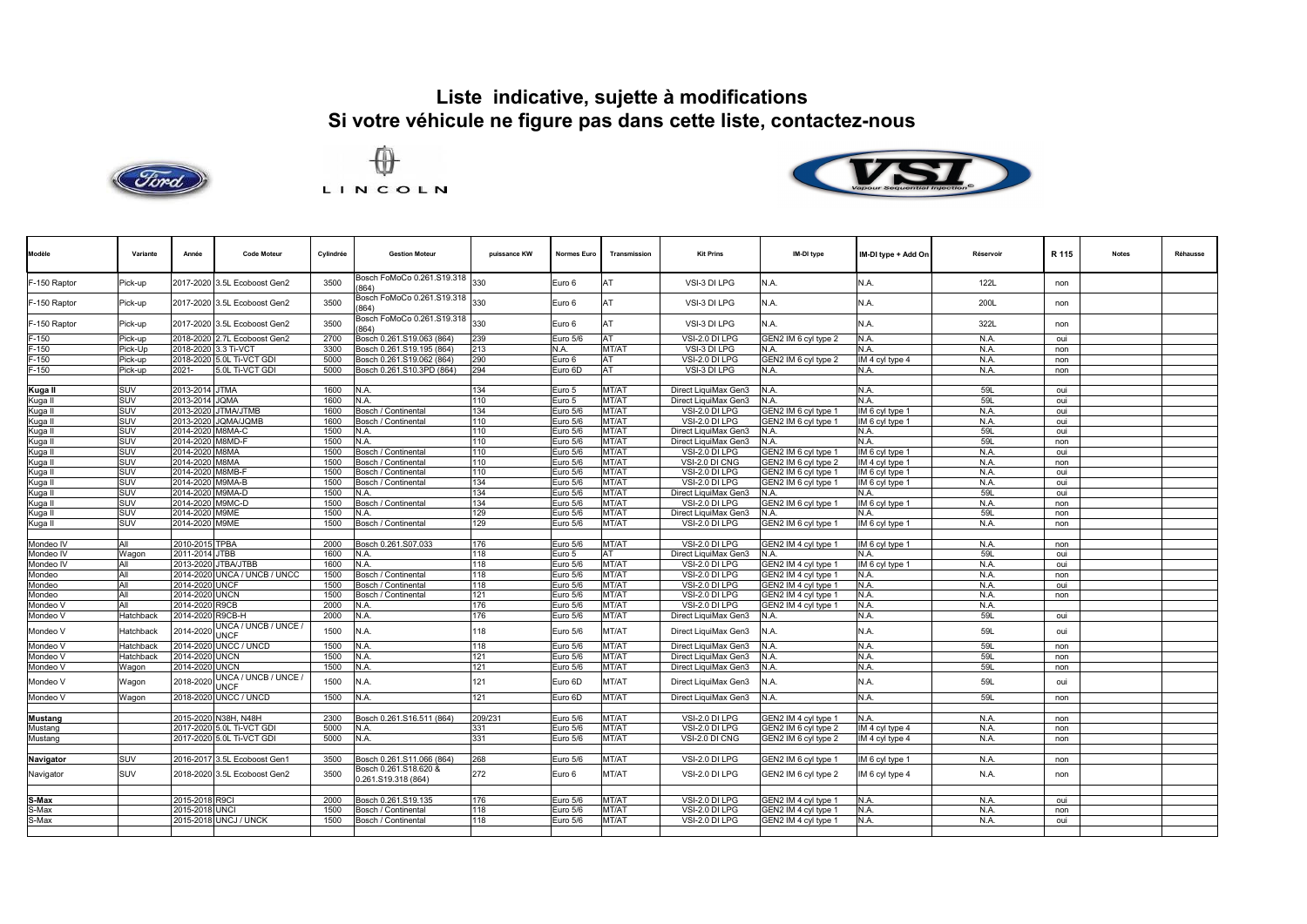





| Modèle         | Variante  | Année            | <b>Code Moteur</b>                  | Cylindrée | <b>Gestion Moteur</b>                   | puissance KW | Normes Euro | Transmission | <b>Kit Prins</b>     | IM-DI type           | IM-DI type + Add On | Réservoir  | R 115 | <b>Notes</b> | Réhausse |
|----------------|-----------|------------------|-------------------------------------|-----------|-----------------------------------------|--------------|-------------|--------------|----------------------|----------------------|---------------------|------------|-------|--------------|----------|
| F-150 Raptor   | Pick-up   |                  | 2017-2020 3.5L Ecoboost Gen2        | 3500      | Bosch FoMoCo 0.261.S19.318 330<br>(864) |              | Euro 6      | AT           | VSI-3 DI LPG         | N.A.                 | N.A.                | 122L       | non   |              |          |
| F-150 Raptor   | Pick-up   |                  | 2017-2020 3.5L Ecoboost Gen2        | 3500      | Bosch FoMoCo 0.261.S19.318<br>864)      | 330          | Euro 6      |              | VSI-3 DI LPG         | N.A.                 | N.A.                | 200L       | non   |              |          |
| F-150 Raptor   | Pick-up   | 2017-2020        | 3.5L Ecoboost Gen2                  | 3500      | Bosch FoMoCo 0.261.S19.318<br>(864)     | 330          | Euro 6      | AT           | VSI-3 DI LPG         | N.A.                 | N.A.                | 322L       | non   |              |          |
| $F-150$        | Pick-up   |                  | 2018-2020 2.7L Ecoboost Gen2        | 2700      | Bosch 0.261.S19.063 (864)               | 239          | Euro 5/6    | AT           | VSI-2.0 DI LPG       | GEN2 IM 6 cyl type 2 | N.A.                | N.A        | oui   |              |          |
| $F-150$        | Pick-Up   | 2018-2020        | 3.3 Ti-VCT                          | 3300      | Bosch 0.261.S19.195 (864)               | 213          | N.A.        | MT/AT        | VSI-3 DI LPG         | N.A.                 | N.A.                | N.A        | non   |              |          |
| $F-150$        | Pick-up   |                  | 2018-2020 5.0L Ti-VCT GDI           | 5000      | Bosch 0.261.S19.062 (864)               | 290          | Euro 6      | AT           | VSI-2.0 DI LPG       | GEN2 IM 6 cvl tvpe 2 | IM 4 cyl type 4     | N.A        | non   |              |          |
| $F-150$        | Pick-up   | 2021-            | 5.0L Ti-VCT GDI                     | 5000      | Bosch 0.261.S10.3PD (864)               | 294          | Euro 6D     | AT           | VSI-3 DI LPG         | N.A.                 | N.A.                | N.A        | non   |              |          |
|                |           |                  |                                     |           |                                         |              |             |              |                      |                      |                     |            |       |              |          |
| Kuga II        | SUV       | 2013-2014 JTMA   |                                     | 1600      | N.A.                                    | 134          | Euro 5      | MT/AT        | Direct LiquiMax Gen3 | N.A.                 | N.A.                | 591        | oui   |              |          |
| Kuga II        | SUV       | 2013-2014 JOMA   |                                     | 1600      | N.A.                                    | 110          | Euro 5      | MT/AT        | Direct LiquiMax Gen3 | N.A.                 | N.A.                | <b>59L</b> | oui   |              |          |
| Kuga II        | SUV       | 2013-2020        | <b>ITMA/JTMB</b>                    | 1600      | Bosch / Continental                     | 134          | Euro 5/6    | MT/AT        | VSI-2.0 DI LPG       | GEN2 IM 6 cyl type 1 | IM 6 cyl type 1     | N.A        | oui   |              |          |
| Kuga II        | SUV       | 2013-2020        | JOMA/JOMB                           | 1600      | Bosch / Continental                     | 110          | Euro 5/6    | MT/AT        | VSI-2.0 DI LPG       | GEN2 IM 6 cvl type 1 | IM 6 cyl type 1     | N.A        | oui   |              |          |
|                | SUV       | 2014-2020        | M8MA-C                              | 1500      | N.A.                                    | 110          | Euro 5/6    | MT/AT        |                      | N.A.                 |                     | 59L        | oui   |              |          |
| Kuga II        |           |                  |                                     |           |                                         |              |             |              | Direct LiquiMax Gen3 |                      | N.A.                |            |       |              |          |
| Kuga II        | SUV       | 2014-2020        | M8MD-F                              | 1500      | N.A.                                    | 110          | Euro 5/6    | MT/AT        | Direct LiquiMax Gen3 | N.A.                 | N.A.                | <b>59L</b> | non   |              |          |
| Kuga II        | SUV       | 2014-2020        | M8MA                                | 1500      | Bosch / Continental                     | 110          | Euro 5/6    | MT/AT        | VSI-2.0 DI LPG       | GEN2 IM 6 cyl type 1 | IM 6 cyl type 1     | N.A        | oui   |              |          |
| Kuga II        | SUV       | 2014-2020 M8MA   |                                     | 1500      | Bosch / Continental                     | 110          | Euro 5/6    | MT/AT        | VSI-2.0 DI CNG       | GEN2 IM 6 cvl type 2 | IM 4 cyl type 1     | N.A        | non   |              |          |
| Kuga II        | SUV       | 2014-2020        | M8MB-F                              | 1500      | Bosch / Continental                     | 110          | Euro 5/6    | MT/AT        | VSI-2.0 DI LPG       | GEN2 IM 6 cyl type 1 | IM 6 cyl type 1     | N.A        | oui   |              |          |
| Kuga II        | SUV       | 2014-2020 M9MA-B |                                     | 1500      | Bosch / Continental                     | 134          | Euro 5/6    | MT/AT        | VSI-2.0 DI LPG       | GEN2 IM 6 cyl type 1 | IM 6 cyl type 1     | N.A        | oui   |              |          |
| Kuga II        | SUV       | 2014-2020 M9MA-D |                                     | 1500      | N.A.                                    | 134          | Euro 5/6    | MT/AT        | Direct LiquiMax Gen3 | N.A.                 | N.A.                | 591        | oui   |              |          |
| Kuga II        | SUV       | 2014-2020 M9MC-D |                                     | 1500      | Bosch / Continental                     | 134          | Euro 5/6    | MT/AT        | VSI-2.0 DI LPG       | GEN2 IM 6 cyl type 1 | IM 6 cyl type 1     | N.A        | non   |              |          |
| Kuga II        | SUV       | 2014-2020 M9ME   |                                     | 1500      | N.A.                                    | 129          | Euro 5/6    | MT/AT        | Direct LiquiMax Gen3 | N.A.                 | N.A.                | <b>59L</b> | non   |              |          |
| Kuga II        | SUV       | 2014-2020 M9ME   |                                     | 1500      | Bosch / Continental                     | 129          | Euro 5/6    | MT/AT        | VSI-2.0 DI LPG       | GEN2 IM 6 cyl type 1 | IM 6 cyl type 1     | N.A.       | non   |              |          |
|                |           |                  |                                     |           |                                         |              |             |              |                      |                      |                     |            |       |              |          |
| Mondeo IV      | All       | 2010-2015 TPBA   |                                     | 2000      | Bosch 0.261.S07.033                     | 176          | Euro 5/6    | MT/AT        | VSI-2.0 DI LPG       | GEN2 IM 4 cvl tvpe 1 | IM 6 cvl type 1     | N.A.       | non   |              |          |
| Mondeo IV      | Wagon     | 2011-2014 JTBB   |                                     | 1600      | N.A.                                    | 118          | Euro 5      | AT           | Direct LiquiMax Gen3 | N.A.                 | N.A.                | 59L        | oui   |              |          |
| Mondeo IV      | All       |                  | 2013-2020 JTBA/JTBB                 | 1600      | N.A.                                    | 118          | Euro 5/6    | MT/AT        | VSI-2.0 DI LPG       | GEN2 IM 4 cyl type 1 | IM 6 cyl type 1     | N.A        | oui   |              |          |
| Mondeo         | All       |                  | 2014-2020 UNCA / UNCB / UNCC        | 1500      | Bosch / Continental                     | 118          | Euro 5/6    | MT/AT        | VSI-2.0 DI LPG       | GEN2 IM 4 cyl type 1 | N.A.                | N.A.       | non   |              |          |
| Mondeo         | All       | 2014-2020        | <b>UNCF</b>                         | 1500      | Bosch / Continental                     | 118          | Euro 5/6    | MT/AT        | VSI-2.0 DI LPG       | GEN2 IM 4 cyl type 1 | N.A.                | N.A.       | oui   |              |          |
|                | All       | 2014-2020        | <b>UNCN</b>                         | 1500      |                                         | 121          |             | MT/AT        | VSI-2.0 DI LPG       | GEN2 IM 4 cvl tvpe 1 | N.A.                | N.A        |       |              |          |
| Mondeo         | All       |                  |                                     |           | Bosch / Continental                     |              | Euro 5/6    |              |                      |                      |                     |            | non   |              |          |
| Mondeo V       |           | 2014-2020        | R9CB                                | 2000      | N.A.                                    | 176          | Euro 5/6    | MT/AT        | VSI-2.0 DI LPG       | GEN2 IM 4 cyl type 1 | N.A.                | N.A        |       |              |          |
| Mondeo V       | Hatchback | 2014-2020        | R9CB-H                              | 2000      | N.A.                                    | 176          | Euro 5/6    | MT/AT        | Direct LiquiMax Gen3 | N.A.                 | N.A.                | 59L        | oui   |              |          |
| Mondeo V       | Hatchback | 2014-202         | UNCA / UNCB / UNCE /<br><b>JNCF</b> | 1500      | N.A.                                    | 118          | Euro 5/6    | MT/AT        | Direct LiquiMax Gen3 | N.A.                 | N.A.                | 59L        | oui   |              |          |
| Mondeo V       | Hatchback |                  | 2014-2020 UNCC / UNCD               | 1500      | N.A.                                    | 118          | Euro 5/6    | MT/AT        | Direct LiquiMax Gen3 | N.A.                 | N.A.                | <b>59L</b> | non   |              |          |
| Mondeo V       | Hatchback | 2014-2020        | <b>UNCN</b>                         | 1500      | N.A.                                    | 121          | Euro 5/6    | MT/AT        | Direct LiquiMax Gen3 | N.A.                 | N.A.                | 59L        | non   |              |          |
| Mondeo V       | Wagon     | 2014-2020        | <b>UNCN</b>                         | 1500      | N.A.                                    | 121          | Euro 5/6    | MT/AT        | Direct LiquiMax Gen3 | N.A.                 | N.A.                | 59L        | non   |              |          |
| Mondeo V       | Wagon     | 2018-2020        | JNCA / UNCB / UNCE /<br><b>JNCF</b> | 1500      | N.A.                                    | 121          | Euro 6D     | MT/AT        | Direct LiquiMax Gen3 | N.A.                 | N.A.                | 59L        | oui   |              |          |
| Mondeo V       | Wagon     | 2018-2020        | UNCC / UNCD                         | 1500      | N.A.                                    | 121          | Euro 6D     | MT/AT        | Direct LiquiMax Gen3 | N.A.                 | N.A.                | <b>59L</b> | non   |              |          |
|                |           |                  |                                     |           |                                         |              |             |              |                      |                      |                     |            |       |              |          |
| <b>Mustang</b> |           |                  | 2015-2020 N38H, N48H                | 2300      | Bosch 0.261.S16.511 (864)               | 209/231      | Euro 5/6    | MT/AT        | VSI-2.0 DI LPG       | GEN2 IM 4 cyl type 1 | N.A.                | N.A        | non   |              |          |
| Mustang        |           |                  | 2017-2020 5.0L Ti-VCT GDI           | 5000      | N.A.                                    | 331          | Euro 5/6    | MT/AT        | VSI-2.0 DI LPG       | GEN2 IM 6 cyl type 2 | IM 4 cyl type 4     | N.A        | non   |              |          |
| Mustang        |           |                  | 2017-2020 5.0L Ti-VCT GDI           | 5000      | N.A.                                    | 331          | Euro 5/6    | MT/AT        | VSI-2.0 DI CNG       | GEN2 IM 6 cyl type 2 | IM 4 cyl type 4     | N.A        | non   |              |          |
|                |           |                  |                                     |           |                                         |              |             |              |                      |                      |                     |            |       |              |          |
| Navigator      | SUV       |                  | 2016-2017 3.5L Ecoboost Gen1        | 3500      | Bosch 0.261.S11.066 (864)               | 268          | Euro 5/6    | MT/AT        | VSI-2.0 DI LPG       | GEN2 IM 6 cyl type 1 | IM 6 cyl type 1     | N.A        | non   |              |          |
| Navigator      | SUV       |                  | 2018-2020 3.5L Ecoboost Gen2        | 3500      | Bosch 0.261.S18.620 &                   | 272          | Euro 6      | MT/AT        | VSI-2.0 DI LPG       | GEN2 IM 6 cyl type 2 | IM 6 cyl type 4     | N.A.       | non   |              |          |
|                |           |                  |                                     |           | 0.261.S19.318 (864)                     |              |             |              |                      |                      |                     |            |       |              |          |
| S-Max          |           | 2015-2018 R9CI   |                                     | 2000      | Bosch 0.261.S19.135                     | 176          | Euro 5/6    | MT/AT        | VSI-2.0 DI LPG       | GEN2 IM 4 cyl type 1 | N.A.                | N.A        | oui   |              |          |
| S-Max          |           | 2015-2018 UNCI   |                                     | 1500      | Bosch / Continental                     | 118          | Euro 5/6    | MT/AT        | VSI-2.0 DI LPG       | GEN2 IM 4 cyl type 1 | N.A.                | N.A        | non   |              |          |
|                |           |                  |                                     |           |                                         |              |             |              |                      |                      |                     |            |       |              |          |
| S-Max          |           |                  | 2015-2018 UNCJ / UNCK               | 1500      | Bosch / Continental                     | 118          | Euro 5/6    | MT/AT        | VSI-2.0 DI LPG       | GEN2 IM 4 cyl type 1 | N.A.                | N.A        | oui   |              |          |
|                |           |                  |                                     |           |                                         |              |             |              |                      |                      |                     |            |       |              |          |